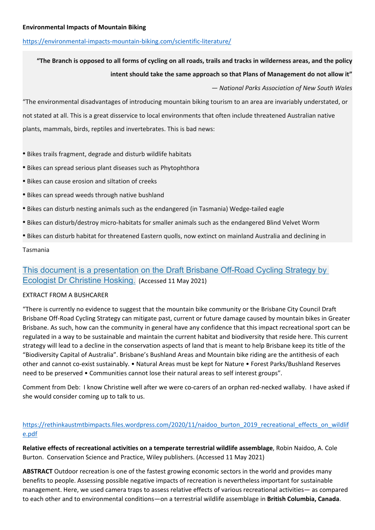## https://environmental-impacts-mountain-biking.com/scientific-literature/

# **"The Branch is opposed to all forms of cycling on all roads, trails and tracks in wilderness areas, and the policy intent should take the same approach so that Plans of Management do not allow it"**

*— National Parks Association of New South Wales*

"The environmental disadvantages of introducing mountain biking tourism to an area are invariably understated, or not stated at all. This is a great disservice to local environments that often include threatened Australian native plants, mammals, birds, reptiles and invertebrates. This is bad news:

- ⦁ Bikes trails fragment, degrade and disturb wildlife habitats
- ⦁ Bikes can spread serious plant diseases such as Phytophthora
- ⦁ Bikes can cause erosion and siltation of creeks
- ⦁ Bikes can spread weeds through native bushland
- ⦁ Bikes can disturb nesting animals such as the endangered (in Tasmania) Wedge-tailed eagle
- ⦁ Bikes can disturb/destroy micro-habitats for smaller animals such as the endangered Blind Velvet Worm
- ⦁ Bikes can disturb habitat for threatened Eastern quolls, now extinct on mainland Australia and declining in

## Tasmania

## This document is a presentation on the Draft Brisbane Off-Road Cycling Strategy by Ecologist Dr Christine Hosking. (Accessed 11 May 2021)

## EXTRACT FROM A BUSHCARER

"There is currently no evidence to suggest that the mountain bike community or the Brisbane City Council Draft Brisbane Off-Road Cycling Strategy can mitigate past, current or future damage caused by mountain bikes in Greater Brisbane. As such, how can the community in general have any confidence that this impact recreational sport can be regulated in a way to be sustainable and maintain the current habitat and biodiversity that reside here. This current strategy will lead to a decline in the conservation aspects of land that is meant to help Brisbane keep its title of the "Biodiversity Capital of Australia". Brisbane's Bushland Areas and Mountain bike riding are the antithesis of each other and cannot co-exist sustainably. • Natural Areas must be kept for Nature • Forest Parks/Bushland Reserves need to be preserved • Communities cannot lose their natural areas to self interest groups".

Comment from Deb: I know Christine well after we were co-carers of an orphan red-necked wallaby. I have asked if she would consider coming up to talk to us.

## https://rethinkaustmtbimpacts.files.wordpress.com/2020/11/naidoo\_burton\_2019\_recreational\_effects\_on\_wildlif e.pdf

**Relative effects of recreational activities on a temperate terrestrial wildlife assemblage**, Robin Naidoo, A. Cole Burton. Conservation Science and Practice, Wiley publishers. (Accessed 11 May 2021)

**ABSTRACT** Outdoor recreation is one of the fastest growing economic sectors in the world and provides many benefits to people. Assessing possible negative impacts of recreation is nevertheless important for sustainable management. Here, we used camera traps to assess relative effects of various recreational activities— as compared to each other and to environmental conditions—on a terrestrial wildlife assemblage in **British Columbia, Canada**.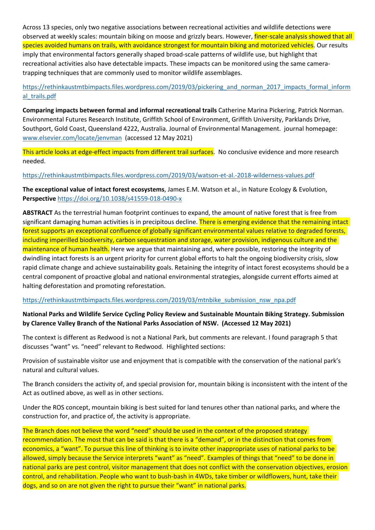Across 13 species, only two negative associations between recreational activities and wildlife detections were observed at weekly scales: mountain biking on moose and grizzly bears. However, *finer-scale analysis showed that all* species avoided humans on trails, with avoidance strongest for mountain biking and motorized vehicles. Our results imply that environmental factors generally shaped broad-scale patterns of wildlife use, but highlight that recreational activities also have detectable impacts. These impacts can be monitored using the same cameratrapping techniques that are commonly used to monitor wildlife assemblages.

https://rethinkaustmtbimpacts.files.wordpress.com/2019/03/pickering\_and\_norman\_2017\_impacts\_formal\_inform al trails.pdf

**Comparing impacts between formal and informal recreational trails** Catherine Marina Pickering, Patrick Norman. Environmental Futures Research Institute, Griffith School of Environment, Griffith University, Parklands Drive, Southport, Gold Coast, Queensland 4222, Australia. Journal of Environmental Management. journal homepage: www.elsevier.com/locate/jenvman (accessed 12 May 2021)

This article looks at edge-effect impacts from different trail surfaces. No conclusive evidence and more research needed.

https://rethinkaustmtbimpacts.files.wordpress.com/2019/03/watson-et-al.-2018-wilderness-values.pdf

**The exceptional value of intact forest ecosystems**, James E.M. Watson et al., in Nature Ecology & Evolution, **Perspective** https://doi.org/10.1038/s41559-018-0490-x

**ABSTRACT** As the terrestrial human footprint continues to expand, the amount of native forest that is free from significant damaging human activities is in precipitous decline. There is emerging evidence that the remaining intact forest supports an exceptional confluence of globally significant environmental values relative to degraded forests, including imperilled biodiversity, carbon sequestration and storage, water provision, indigenous culture and the maintenance of human health. Here we argue that maintaining and, where possible, restoring the integrity of dwindling intact forests is an urgent priority for current global efforts to halt the ongoing biodiversity crisis, slow rapid climate change and achieve sustainability goals. Retaining the integrity of intact forest ecosystems should be a central component of proactive global and national environmental strategies, alongside current efforts aimed at halting deforestation and promoting reforestation.

#### https://rethinkaustmtbimpacts.files.wordpress.com/2019/03/mtnbike\_submission\_nsw\_npa.pdf

## **National Parks and Wildlife Service Cycling Policy Review and Sustainable Mountain Biking Strategy. Submission by Clarence Valley Branch of the National Parks Association of NSW. (Accessed 12 May 2021)**

The context is different as Redwood is not a National Park, but comments are relevant. I found paragraph 5 that discusses "want" vs. "need" relevant to Redwood. Highlighted sections:

Provision of sustainable visitor use and enjoyment that is compatible with the conservation of the national park's natural and cultural values.

The Branch considers the activity of, and special provision for, mountain biking is inconsistent with the intent of the Act as outlined above, as well as in other sections.

Under the ROS concept, mountain biking is best suited for land tenures other than national parks, and where the construction for, and practice of, the activity is appropriate.

The Branch does not believe the word "need" should be used in the context of the proposed strategy recommendation. The most that can be said is that there is a "demand", or in the distinction that comes from economics, a "want". To pursue this line of thinking is to invite other inappropriate uses of national parks to be allowed, simply because the Service interprets "want" as "need". Examples of things that "need" to be done in national parks are pest control, visitor management that does not conflict with the conservation objectives, erosion control, and rehabilitation. People who want to bush-bash in 4WDs, take timber or wildflowers, hunt, take their dogs, and so on are not given the right to pursue their "want" in national parks.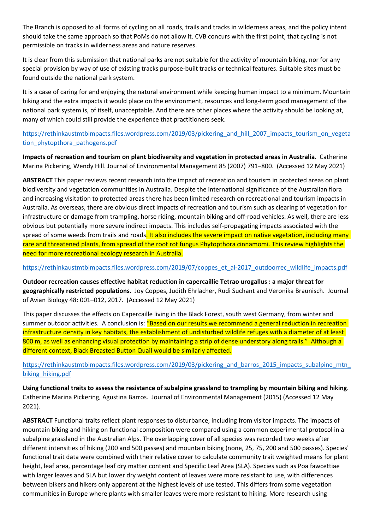The Branch is opposed to all forms of cycling on all roads, trails and tracks in wilderness areas, and the policy intent should take the same approach so that PoMs do not allow it. CVB concurs with the first point, that cycling is not permissible on tracks in wilderness areas and nature reserves.

It is clear from this submission that national parks are not suitable for the activity of mountain biking, nor for any special provision by way of use of existing tracks purpose-built tracks or technical features. Suitable sites must be found outside the national park system.

It is a case of caring for and enjoying the natural environment while keeping human impact to a minimum. Mountain biking and the extra impacts it would place on the environment, resources and long-term good management of the national park system is, of itself, unacceptable. And there are other places where the activity should be looking at, many of which could still provide the experience that practitioners seek.

https://rethinkaustmtbimpacts.files.wordpress.com/2019/03/pickering\_and\_hill\_2007\_impacts\_tourism\_on\_vegeta tion\_phytopthora\_pathogens.pdf

**Impacts of recreation and tourism on plant biodiversity and vegetation in protected areas in Australia**. Catherine Marina Pickering, Wendy Hill. Journal of Environmental Management 85 (2007) 791–800. (Accessed 12 May 2021)

**ABSTRACT** This paper reviews recent research into the impact of recreation and tourism in protected areas on plant biodiversity and vegetation communities in Australia. Despite the international significance of the Australian flora and increasing visitation to protected areas there has been limited research on recreational and tourism impacts in Australia. As overseas, there are obvious direct impacts of recreation and tourism such as clearing of vegetation for infrastructure or damage from trampling, horse riding, mountain biking and off-road vehicles. As well, there are less obvious but potentially more severe indirect impacts. This includes self-propagating impacts associated with the spread of some weeds from trails and roads. It also includes the severe impact on native vegetation, including many rare and threatened plants, from spread of the root rot fungus Phytopthora cinnamomi. This review highlights the need for more recreational ecology research in Australia.

#### https://rethinkaustmtbimpacts.files.wordpress.com/2019/07/coppes\_et\_al-2017\_outdoorrec\_wildlife\_impacts.pdf

**Outdoor recreation causes effective habitat reduction in capercaillie Tetrao urogallus : a major threat for geographically restricted populations.** Joy Coppes, Judith Ehrlacher, Rudi Suchant and Veronika Braunisch. Journal of Avian Biology 48: 001–012, 2017. (Accessed 12 May 2021)

This paper discusses the effects on Capercaille living in the Black Forest, south west Germany, from winter and summer outdoor activities. A conclusion is: "Based on our results we recommend a general reduction in recreation infrastructure density in key habitats, the establishment of undisturbed wildlife refuges with a diameter of at least 800 m, as well as enhancing visual protection by maintaining a strip of dense understory along trails." Although a different context, Black Breasted Button Quail would be similarly affected.

https://rethinkaustmtbimpacts.files.wordpress.com/2019/03/pickering\_and\_barros\_2015\_impacts\_subalpine\_mtn biking hiking.pdf

Using functional traits to assess the resistance of subalpine grassland to trampling by mountain biking and hiking.<br>Catherine Marina Pickering, Agustina Barros. Journal of Environmental Management (2015) (Accessed 12 May 2021).

**ABSTRACT** Functional traits reflect plant responses to disturbance, including from visitor impacts. The impacts of mountain biking and hiking on functional composition were compared using a common experimental protocol in a subalpine grassland in the Australian Alps. The overlapping cover of all species was recorded two weeks after different intensities of hiking (200 and 500 passes) and mountain biking (none, 25, 75, 200 and 500 passes). Species' functional trait data were combined with their relative cover to calculate community trait weighted means for plant height, leaf area, percentage leaf dry matter content and Specific Leaf Area (SLA). Species such as Poa fawcettiae with larger leaves and SLA but lower dry weight content of leaves were more resistant to use, with differences between bikers and hikers only apparent at the highest levels of use tested. This differs from some vegetation communities in Europe where plants with smaller leaves were more resistant to hiking. More research using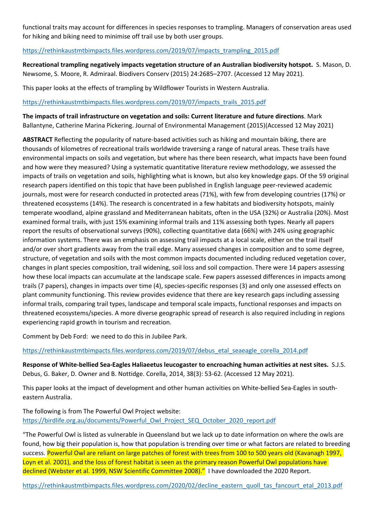functional traits may account for differences in species responses to trampling. Managers of conservation areas used for hiking and biking need to minimise off trail use by both user groups.

## https://rethinkaustmtbimpacts.files.wordpress.com/2019/07/impacts\_trampling\_2015.pdf

**Recreational trampling negatively impacts vegetation structure of an Australian biodiversity hotspot.** S. Mason, D. Newsome, S. Moore, R. Admiraal. Biodivers Conserv (2015) 24:2685–2707. (Accessed 12 May 2021).

This paper looks at the effects of trampling by Wildflower Tourists in Western Australia.

#### https://rethinkaustmtbimpacts.files.wordpress.com/2019/07/impacts\_trails\_2015.pdf

**The impacts of trail infrastructure on vegetation and soils: Current literature and future directions**. Mark Ballantyne, Catherine Marina Pickering. Journal of Environmental Management (2015)(Accessed 12 May 2021)

**ABSTRACT** Reflecting the popularity of nature-based activities such as hiking and mountain biking, there are thousands of kilometres of recreational trails worldwide traversing a range of natural areas. These trails have environmental impacts on soils and vegetation, but where has there been research, what impacts have been found and how were they measured? Using a systematic quantitative literature review methodology, we assessed the impacts of trails on vegetation and soils, highlighting what is known, but also key knowledge gaps. Of the 59 original research papers identified on this topic that have been published in English language peer-reviewed academic journals, most were for research conducted in protected areas (71%), with few from developing countries (17%) or threatened ecosystems (14%). The research is concentrated in a few habitats and biodiversity hotspots, mainly temperate woodland, alpine grassland and Mediterranean habitats, often in the USA (32%) or Australia (20%). Most examined formal trails, with just 15% examining informal trails and 11% assessing both types. Nearly all papers report the results of observational surveys (90%), collecting quantitative data (66%) with 24% using geographic information systems. There was an emphasis on assessing trail impacts at a local scale, either on the trail itself and/or over short gradients away from the trail edge. Many assessed changes in composition and to some degree, structure, of vegetation and soils with the most common impacts documented including reduced vegetation cover, changes in plant species composition, trail widening, soil loss and soil compaction. There were 14 papers assessing how these local impacts can accumulate at the landscape scale. Few papers assessed differences in impacts among trails (7 papers), changes in impacts over time (4), species-specific responses (3) and only one assessed effects on plant community functioning. This review provides evidence that there are key research gaps including assessing informal trails, comparing trail types, landscape and temporal scale impacts, functional responses and impacts on threatened ecosystems/species. A more diverse geographic spread of research is also required including in regions experiencing rapid growth in tourism and recreation.

Comment by Deb Ford: we need to do this in Jubilee Park.

https://rethinkaustmtbimpacts.files.wordpress.com/2019/07/debus\_etal\_seaeagle\_corella\_2014.pdf

**Response of White-bellied Sea-Eagles Haliaeetus leucogaster to encroaching human activities at nest sites.** S.J.S. Debus, G. Baker, D. Owner and B. Nottidge. Corella, 2014, 38(3): 53-62. (Accessed 12 May 2021).

This paper looks at the impact of development and other human activities on White-bellied Sea-Eagles in southeastern Australia.

The following is from The Powerful Owl Project website: https://birdlife.org.au/documents/Powerful\_Owl\_Project\_SEQ\_October\_2020\_report.pdf

"The Powerful Owl is listed as vulnerable in Queensland but we lack up to date information on where the owls are found, how big their population is, how that population is trending over time or what factors are related to breeding success. Powerful Owl are reliant on large patches of forest with trees from 100 to 500 years old (Kavanagh 1997, Loyn et al. 2001), and the loss of forest habitat is seen as the primary reason Powerful Owl populations have declined (Webster et al. 1999, NSW Scientific Committee 2008)." I have downloaded the 2020 Report.

https://rethinkaustmtbimpacts.files.wordpress.com/2020/02/decline\_eastern\_quoll\_tas\_fancourt\_etal\_2013.pdf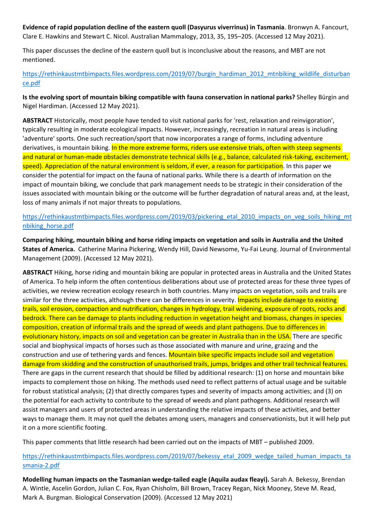**Evidence of rapid population decline of the eastern quoll (Dasyurus viverrinus) in Tasmania**. Bronwyn A. Fancourt, Clare E. Hawkins and Stewart C. Nicol. Australian Mammalogy, 2013, 35, 195–205. (Accessed 12 May 2021).

This paper discusses the decline of the eastern quoll but is inconclusive about the reasons, and MBT are not mentioned.

https://rethinkaustmtbimpacts.files.wordpress.com/2019/07/burgin\_hardiman\_2012\_mtnbiking\_wildlife\_disturban ce.pdf

**Is the evolving sport of mountain biking compatible with fauna conservation in national parks?** Shelley Bürgin and Nigel Hardiman. (Accessed 12 May 2021).

**ABSTRACT** Historically, most people have tended to visit national parks for 'rest, relaxation and reinvigoration', typically resulting in moderate ecological impacts. However, increasingly, recreation in natural areas is including 'adventure' sports. One such recreation/sport that now incorporates a range of forms, including adventure derivatives, is mountain biking. In the more extreme forms, riders use extensive trials, often with steep segments and natural or human-made obstacles demonstrate technical skills (e.g., balance, calculated risk-taking, excitement, speed). Appreciation of the natural environment is seldom, if ever, a reason for participation. In this paper we consider the potential for impact on the fauna of national parks. While there is a dearth of information on the impact of mountain biking, we conclude that park management needs to be strategic in their consideration of the issues associated with mountain biking or the outcome will be further degradation of natural areas and, at the least, loss of many animals if not major threats to populations.

https://rethinkaustmtbimpacts.files.wordpress.com/2019/03/pickering\_etal\_2010\_impacts\_on\_veg\_soils\_hiking\_mt nbiking\_horse.pdf

**Comparing hiking, mountain biking and horse riding impacts on vegetation and soils in Australia and the United States of America.** Catherine Marina Pickering, Wendy Hill, David Newsome, Yu-Fai Leung. Journal of Environmental Management (2009). (Accessed 12 May 2021).

**ABSTRACT** Hiking, horse riding and mountain biking are popular in protected areas in Australia and the United States of America. To help inform the often contentious deliberations about use of protected areas for these three types of activities, we review recreation ecology research in both countries. Many impacts on vegetation, soils and trails are similar for the three activities, although there can be differences in severity. **Impacts include damage to existing** trails, soil erosion, compaction and nutrification, changes in hydrology, trail widening, exposure of roots, rocks and bedrock. There can be damage to plants including reduction in vegetation height and biomass, changes in species composition, creation of informal trails and the spread of weeds and plant pathogens. Due to differences in evolutionary history, impacts on soil and vegetation can be greater in Australia than in the USA. There are specific social and biophysical impacts of horses such as those associated with manure and urine, grazing and the construction and use of tethering yards and fences. Mountain bike specific impacts include soil and vegetation damage from skidding and the construction of unauthorised trails, jumps, bridges and other trail technical features. There are gaps in the current research that should be filled by additional research: (1) on horse and mountain bike impacts to complement those on hiking. The methods used need to reflect patterns of actual usage and be suitable for robust statistical analysis; (2) that directly compares types and severity of impacts among activities; and (3) on the potential for each activity to contribute to the spread of weeds and plant pathogens. Additional research will assist managers and users of protected areas in understanding the relative impacts of these activities, and better ways to manage them. It may not quell the debates among users, managers and conservationists, but it will help put it on a more scientific footing.

This paper comments that little research had been carried out on the impacts of MBT – published 2009.

## https://rethinkaustmtbimpacts.files.wordpress.com/2019/07/bekessy\_etal\_2009\_wedge\_tailed\_human\_impacts\_ta smania-2.pdf

**Modelling human impacts on the Tasmanian wedge-tailed eagle (Aquila audax fleayi).** Sarah A. Bekessy, Brendan A. Wintle, Ascelin Gordon, Julian C. Fox, Ryan Chisholm, Bill Brown, Tracey Regan, Nick Mooney, Steve M. Read, Mark A. Burgman. Biological Conservation (2009). (Accessed 12 May 2021)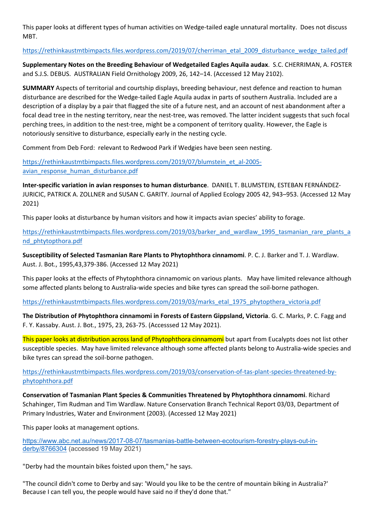This paper looks at different types of human activities on Wedge-tailed eagle unnatural mortality. Does not discuss MBT.

## https://rethinkaustmtbimpacts.files.wordpress.com/2019/07/cherriman\_etal\_2009\_disturbance\_wedge\_tailed.pdf

**Supplementary Notes on the Breeding Behaviour of Wedgetailed Eagles Aquila audax**. S.C. CHERRIMAN, A. FOSTER and S.J.S. DEBUS. AUSTRALIAN Field Ornithology 2009, 26, 142–14. (Accessed 12 May 2102).

**SUMMARY** Aspects of territorial and courtship displays, breeding behaviour, nest defence and reaction to human disturbance are described for the Wedge-tailed Eagle Aquila audax in parts of southern Australia. Included are a description of a display by a pair that flagged the site of a future nest, and an account of nest abandonment after a focal dead tree in the nesting territory, near the nest-tree, was removed. The latter incident suggests that such focal perching trees, in addition to the nest-tree, might be a component of territory quality. However, the Eagle is notoriously sensitive to disturbance, especially early in the nesting cycle.

Comment from Deb Ford: relevant to Redwood Park if Wedgies have been seen nesting.

https://rethinkaustmtbimpacts.files.wordpress.com/2019/07/blumstein\_et\_al-2005 avian response human disturbance.pdf

**Inter-specific variation in avian responses to human disturbance**. DANIEL T. BLUMSTEIN, ESTEBAN FERNÁNDEZ-JURICIC, PATRICK A. ZOLLNER and SUSAN C. GARITY. Journal of Applied Ecology 2005 42, 943–953. (Accessed 12 May 2021)

This paper looks at disturbance by human visitors and how it impacts avian species' ability to forage.

https://rethinkaustmtbimpacts.files.wordpress.com/2019/03/barker\_and\_wardlaw\_1995\_tasmanian\_rare\_plants\_a nd\_phtytopthora.pdf

**Susceptibility of Selected Tasmanian Rare Plants to Phytophthora cinnamomi**. P. C. J. Barker and T. J. Wardlaw. Aust. J. Bot., 1995,43,379-386. (Accessed 12 May 2021)

This paper looks at the effects of Phytophthora cinnamomic on various plants. May have limited relevance although some affected plants belong to Australia-wide species and bike tyres can spread the soil-borne pathogen.

https://rethinkaustmtbimpacts.files.wordpress.com/2019/03/marks\_etal\_1975\_phytopthera\_victoria.pdf

**The Distribution of Phytophthora cinnamomi in Forests of Eastern Gippsland, Victoria**. G. C. Marks, P. C. Fagg and F. Y. Kassaby. Aust. J. Bot., 1975, 23, 263-75. (Accesssed 12 May 2021).

This paper looks at distribution across land of Phytophthora cinnamomi but apart from Eucalypts does not list other susceptible species. May have limited relevance although some affected plants belong to Australia-wide species and bike tyres can spread the soil-borne pathogen.

https://rethinkaustmtbimpacts.files.wordpress.com/2019/03/conservation-of-tas-plant-species-threatened-byphytophthora.pdf

**Conservation of Tasmanian Plant Species & Communities Threatened by Phytophthora cinnamomi**. Richard Schahinger, Tim Rudman and Tim Wardlaw. Nature Conservation Branch Technical Report 03/03, Department of Primary Industries, Water and Environment (2003). (Accessed 12 May 2021)

This paper looks at management options.

https://www.abc.net.au/news/2017-08-07/tasmanias-battle-between-ecotourism-forestry-plays-out-inderby/8766304 (accessed 19 May 2021)

"Derby had the mountain bikes foisted upon them," he says.

"The council didn't come to Derby and say: 'Would you like to be the centre of mountain biking in Australia?' Because I can tell you, the people would have said no if they'd done that."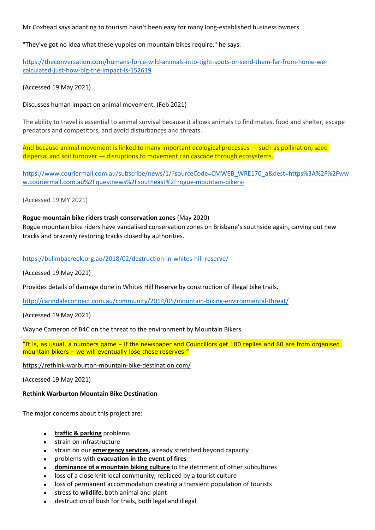Mr Coxhead says adapting to tourism hasn't been easy for many long-established business owners.

"They've got no idea what these yuppies on mountain bikes require," he says.

https://theconversation.com/humans-force-wild-animals-into-tight-spots-or-send-them-far-from-home-wecalculated-just-how-big-the-impact-is-152619

(Accessed 19 May 2021)

Discusses human impact on animal movement. (Feb 2021)

The ability to travel is essential to animal survival because it allows animals to find mates, food and shelter, escape predators and competitors, and avoid disturbances and threats.

And because animal movement is linked to many important ecological processes — such as pollination, seed dispersal and soil turnover — disruptions to movement can cascade through ecosystems.

https://www.couriermail.com.au/subscribe/news/1/?sourceCode=CMWEB\_WRE170\_a&dest=https%3A%2F%2Fww w.couriermail.com.au%2Fquestnews%2Fsoutheast%2Frogue-mountain-bikers-

(Accessed 19 MY 2021)

#### **Rogue mountain bike riders trash conservation zones** (May 2020)

Rogue mountain bike riders have vandalised conservation zones on Brisbane's southside again, carving out new tracks and brazenly restoring tracks closed by authorities.

https://bulimbacreek.org.au/2018/02/destruction-in-whites-hill-reserve/

(Accessed 19 May 2021)

Provides details of damage done in Whites Hill Reserve by construction of illegal bike trails.

http://carindaleconnect.com.au/community/2014/05/mountain-biking-environmental-threat/

(Accessed 19 May 2021)

Wayne Cameron of B4C on the threat to the environment by Mountain Bikers.<br>"It is, as usual, a numbers game – if the newspaper and Councillors get 100 replies and 80 are from organised mountain bikers – we will eventually lose these reserves."

https://rethink-warburton-mountain-bike-destination.com/

(Accessed 19 May 2021)

## **Rethink Warburton Mountain Bike Destination**

The major concerns about this project are:

- **traffic & parking** problems
- strain on infrastructure
- strain on our **emergency services**, already stretched beyond capacity
- problems with **evacuation in the event of fires**
- **dominance of a mountain biking culture** to the detriment of other subcultures
- loss of a close knit local community, replaced by a tourist culture
- loss of permanent accommodation creating a transient population of tourists
- stress to **wildlife**, both animal and plant
- destruction of bush for trails, both legal and illegal